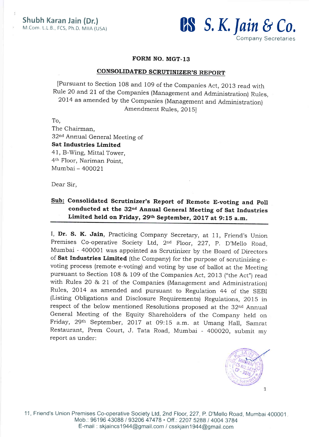

#### FORM NO. MGT-13

### **CONSOLIDATED SCRUTINIZER'S REPORT**

[Pursuant to Section 108 and 109 of the companies Act,2013 read with Rule 20 and 21 of the Companies (Management and Administration) Rules, 2OL4 as amended by the Companies (Management and Administration) Amendment Rules, 2015i

To,

The Chairman, 32nd Annual General Meeting of Sat Industries Limited 41, B-Wing, Mittal Tower, 4<sup>th</sup> Floor, Nariman Point,  $Mumbai - 400021$ 

Dear Sir,

## Sub: Consolidated Scrutinizer's Report of Remote E-voting and Poll conducted at the 32<sup>nd</sup> Annual General Meeting of Sat Industries Limited held on Friday, 29<sup>th</sup> September, 2017 at 9:15 a.m.

I, Dr. S. K. Jain, Practicing Company Secretary, at 11, Friend's Union Premises co-operative society Ltd, 2nd Floor, 227, p. D'Mello Road, Mumbai - 400001 was appointed as Scrutinizer by the Board of Directors of Sat Industries Limited (the Company) for the purpose of scrutinizing evoting process (remote e-voting) and voting by use of ballot at the Meeting pursuant to Section 108 & 109 of the Companies Act, 2013 ("the Act") read with Rules 20 & 2I of the Companies (Management and Administration) Rules, 2014 as amended and pursuant to Regulation 44 of the SEBI (Listing Obligations and Disclosure Requirements) Regulations, 2015 in respect of the below mentioned Resolutions proposed at the 32<sup>nd</sup> Annual General Meeting of the Equity Shareholders of the company held on Friday, 29<sup>th</sup> September, 2017 at 09:15 a.m. at Umang Hall, Samrat Restaurant, Prem court, J. Tata Road, Mumbai - 4ooo2o, submit my report as under:

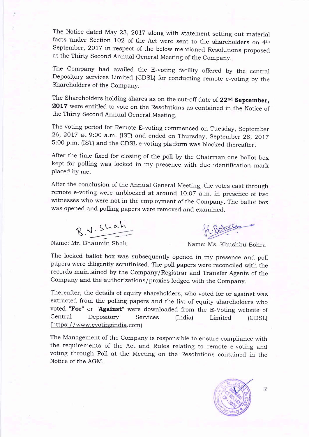The Notice dated May 23, 2OI7 along with statement setting out material facts under Section LO2 of the Act were sent to the shareholders on 4th September, 2OI7 in respect of the below mentioned Resolutions proposed at the Thirty second Annual General Meeting of the company.

The Company had availed the E-voting facility offered by the central Depository services Limited (CDSL) for conducting remote e-voting by the Shareholders of the Company.

The Shareholders holding shares as on the cut-off date of 22<sup>nd</sup> September, 2017 were entitled to vote on the Resolutions as contained in the Notice of the Thirty Second Annual General Meeting.

The voting period for Remote E-voting commenced on Tuesday, september 26, 2017 at 9:00 a.m. (IST) and ended on Thursday, September 28, 2017 5:00 p.m. (IST) and the cDSL e-voting platform was blocked thereafter.

After the time fixed for closing of the poll by the Chairman one ballot box kept for polling was locked in my presence with due identification mark placed by me.

After the conclusion of the Annual General Meeting, the votes cast through remote e-voting were unblocked at around 10:07 a.m. in presence of two witnesses who were not in the employment of the company. The ballot box was opened and polling papers were removed and examined.

 $R.V.S$ Lah

 $6001$ 

 $\frac{1}{\text{a} \times \text{b}}$  -Name: Mr. Bhaumin Shah Name: Ms. Khushbu Bohra

The locked ballot box was subsequently opened in my presence and poll papers were diligently scrutinized. The poll papers were reconciled with the records maintained by the Company/Registrar and Transfer Agents of the company and the authorizations/proxies lodged with the company.

Thereafter, the details of equity shareholders, who voted for or against was extracted from the polling papers and the list of equity shareholders who voted "For" or "Against" were downloaded from the E-Voting website of Central Depository Services (India) Limited (cDSL) (https://www.evotingindia.com)

The Management of the Company is responsible to ensure compliance with the requirements of the Act and Rules relating to remote e-voting and voting through Poll at the Meeting on the Resolutions contained in the Notice of the AGM.



 $\overline{2}$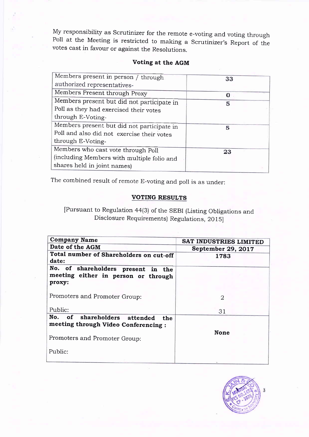My responsibility as Scrutinizer for the remote e-voting and voting through Poll at the Meeting is restricted to making <sup>a</sup> Scrutinizer's Report of the votes cast in favour or against the Resolutions.

## Voting at the AGM

| Members present in person / through        | 33 |
|--------------------------------------------|----|
| authorized representatives-                |    |
| Members Present through Proxy              | O  |
| Members present but did not participate in | 5  |
| Poll as they had exercised their votes     |    |
| through E-Voting-                          |    |
| Members present but did not participate in | 5  |
| Poll and also did not exercise their votes |    |
| through E-Voting-                          |    |
| Members who cast vote through Poll         | 23 |
| (including Members with multiple folio and |    |
| shares held in joint names)                |    |
|                                            |    |

The combined result of remote E-voting and poll is as under:

## VOTING RESULTS

[Pursuant to Regulation 44(3) of the SEBI (Listing Obligations and Disclosure Requirements) Regulations, 2015]

| <b>Company Name</b>                                                                 | SAT INDUSTRIES LIMITED      |
|-------------------------------------------------------------------------------------|-----------------------------|
| Date of the AGM                                                                     | September 29, 2017          |
| Total number of Shareholders on cut-off<br>date:                                    | 1783                        |
| No. of shareholders present in the<br>meeting either in person or through<br>proxy: |                             |
| Promoters and Promoter Group:                                                       | $\mathcal{D}_{\mathcal{L}}$ |
| Public:                                                                             | 31                          |
| No. of shareholders attended<br>the:<br>meeting through Video Conferencing:         | <b>None</b>                 |
| Promoters and Promoter Group:                                                       |                             |
| Public:                                                                             |                             |

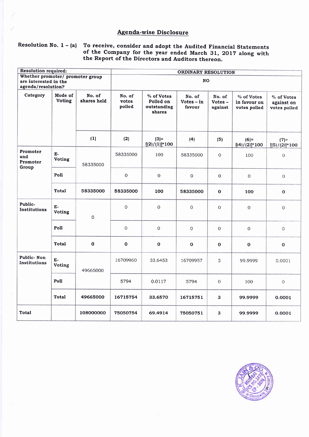## Agenda-wise Disclosure

## Resolution No.  $1 - (a)$  To receive, consider and adopt the Audited Financial Statements of the Company for the year ended March 31, 2017 along with the Report of the Directors and Auditors thereon.

| <b>Resolution required:</b>                                                     |                     |                       | ORDINARY RESOLUTION       |                                                  |                                  |                                |                                            |                                          |
|---------------------------------------------------------------------------------|---------------------|-----------------------|---------------------------|--------------------------------------------------|----------------------------------|--------------------------------|--------------------------------------------|------------------------------------------|
| Whether promoter/ promoter group<br>are interested in the<br>agenda/resolution? |                     |                       |                           |                                                  | <b>NO</b>                        |                                |                                            |                                          |
| Category                                                                        | Mode of<br>Voting   | No. of<br>shares held | No. of<br>votes<br>polled | % of Votes<br>Polled on<br>outstanding<br>shares | No. of<br>$Votes - in$<br>favour | No. of<br>$Votes -$<br>against | % of Votes<br>in favour on<br>votes polled | % of Votes<br>against on<br>votes polled |
|                                                                                 |                     | (1)                   | (2)                       | $(3) =$<br>$[(2)/(1)]$ *100                      | (4)                              | (5)                            | $(6)=$<br>$[(4)/(2)]$ *100                 | $(7) =$<br>$[(5)/(2)]$ *100              |
| Promoter<br>and<br>Promoter<br>Group                                            | $E-$<br>Voting      | 58335000              | 58335000                  | 100                                              | 58335000                         | $\overline{O}$                 | 100                                        | $\overline{0}$                           |
|                                                                                 | Poll                |                       | $\mathbf 0$               | $\boldsymbol{0}$                                 | $\mathbf 0$                      | $\overline{0}$                 | $\overline{0}$                             | $\overline{O}$                           |
|                                                                                 | <b>Total</b>        | 58335000              | 58335000                  | 100                                              | 58335000                         | $\mathbf 0$                    | 100                                        | $\mathbf{o}$                             |
| Public-<br>Institutions                                                         | E-<br><b>Voting</b> | $\mathbf 0$           | $\Omega$                  | $\mathbf 0$                                      | $\mathbf{0}$                     | $\overline{0}$                 | $\boldsymbol{0}$                           | $\mathbf 0$                              |
|                                                                                 | Poll                |                       | $\boldsymbol{0}$          | $\mathbf 0$                                      | $\mathbf{O}$                     | $\mathbf 0$                    | $\boldsymbol{0}$                           | $\overline{O}$                           |
|                                                                                 | <b>Total</b>        | $\mathbf 0$           | $\pmb{0}$                 | $\mathbf 0$                                      | $\mathbf 0$                      | $\mathbf 0$                    | $\mathbf 0$                                | $\mathbf 0$                              |
| Public-Non<br>Institutions                                                      | Е-<br>Voting        | 49665000              | 16709960                  | 33.6453                                          | 16709957                         | 3                              | 99.9999                                    | 0.0001                                   |
|                                                                                 | Poll                |                       | 5794                      | 0.0117                                           | 5794                             | $\overline{0}$                 | 100                                        | $\overline{O}$                           |
|                                                                                 | <b>Total</b>        | 49665000              | 16715754                  | 33.6570                                          | 16715751                         | 3                              | 99.9999                                    | 0.0001                                   |
| Total                                                                           |                     | 108000000             | 75050754                  | 69.4914                                          | 75050751                         | 3                              | 99.9999                                    | 0.0001                                   |

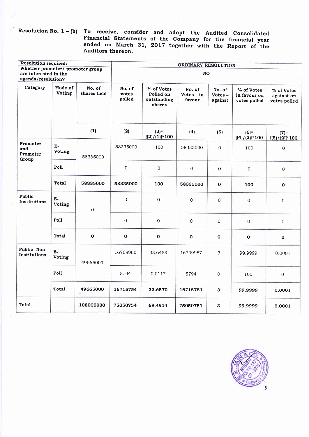$\begin{array}{ccc} \text{Resolution No. 1-(b)}& \text{To} & \text{receive}, & \text{consider} \end{array}$ Financial Statements ended on March 31, Auditors thereon. and adopt the Audited Consolidated<br>of the Company for the financial year 2Ol7 together with the Report of the

| <b>Resolution required:</b>                               |                       |                       | ORDINARY RESOLUTION       |                                                  |                                  |                                |                                            |                                          |  |  |
|-----------------------------------------------------------|-----------------------|-----------------------|---------------------------|--------------------------------------------------|----------------------------------|--------------------------------|--------------------------------------------|------------------------------------------|--|--|
| Whether promoter/ promoter group<br>are interested in the |                       |                       |                           | NO.                                              |                                  |                                |                                            |                                          |  |  |
| agenda/resolution?                                        |                       |                       |                           |                                                  |                                  |                                |                                            |                                          |  |  |
| Category                                                  | Mode of<br>Voting     | No. of<br>shares held | No. of<br>votes<br>polled | % of Votes<br>Polled on<br>outstanding<br>shares | No. of<br>$Votes - in$<br>favour | No. of<br>$Votes -$<br>against | % of Votes<br>in favour on<br>votes polled | % of Votes<br>against on<br>votes polled |  |  |
|                                                           |                       | (1)                   | (2)                       | $(3)$ =<br>$[(2)/(1)]$ *100                      | (4)                              | (5)                            | $(6) =$<br>$[(4)/(2)]$ *100                | $(7)=$<br>$[(5)/(2)]$ *100               |  |  |
| Promoter<br>and<br>Promoter<br>Group                      | $E-$<br>Voting        | 58335000              | 58335000                  | 100                                              | 58335000                         | 0                              | 100                                        | $\mathbf 0$                              |  |  |
|                                                           | Poll                  |                       | $\mathbf 0$               | $\boldsymbol{0}$                                 | $\boldsymbol{0}$                 | $\overline{0}$                 | $\overline{O}$                             | $\overline{O}$                           |  |  |
|                                                           | <b>Total</b>          | 58335000              | 58335000                  | 100                                              | 58335000                         | $\mathbf{o}$                   | 100                                        | $\mathbf 0$                              |  |  |
| Public-<br>Institutions                                   | $E-$<br><b>Voting</b> | $\mathbf 0$           | $\mathbf{O}$              | $\mathbf 0$                                      | $\Omega$                         | $\boldsymbol{0}$               | $\boldsymbol{0}$                           | $\overline{0}$                           |  |  |
|                                                           | Poll                  |                       | $\mathbf 0$               | 0                                                | $\boldsymbol{0}$                 | $\boldsymbol{0}$               | $\mathbf 0$                                | $\mathbf{O}$                             |  |  |
|                                                           | <b>Total</b>          | $\mathbf{o}$          | $\mathbf 0$               | $\mathbf 0$                                      | $\mathbf 0$                      | $\mathbf{o}$                   | $\mathbf 0$                                | $\mathbf 0$                              |  |  |
| Public-Non<br>Institutions                                | Е-<br>Voting          | 49665000              | 16709960                  | 33.6453                                          | 16709957                         | 3                              | 99.9999                                    | 0.0001                                   |  |  |
|                                                           | Poll                  |                       | 5794                      | 0.0117                                           | 5794                             | $\overline{0}$                 | 100                                        | $\mathbf 0$                              |  |  |
|                                                           | <b>Total</b>          | 49665000              | 16715754                  | 33.6570                                          | 16715751                         | 3                              | 99.9999                                    | 0.0001                                   |  |  |
| Total                                                     |                       | 108000000             | 75050754                  | 69.4914                                          | 75050751                         | 3                              | 99.9999                                    | 0.0001                                   |  |  |

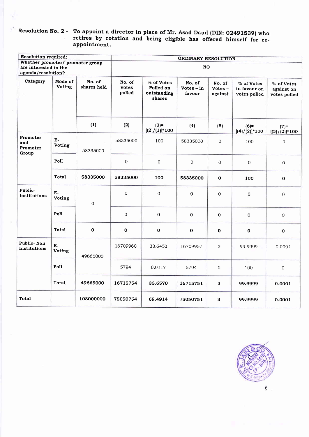# Resolution No. 2 - To appoint a director in place of Mr. Asad Daud (DIN: 02491539) who retires by rotation and being eligible has offered himself for re-<br>appointment.

| Resolution required:                                                            |                          |                       |                           |                                                  | ORDINARY RESOLUTION              |                                |                                            |                                          |  |
|---------------------------------------------------------------------------------|--------------------------|-----------------------|---------------------------|--------------------------------------------------|----------------------------------|--------------------------------|--------------------------------------------|------------------------------------------|--|
| Whether promoter/ promoter group<br>are interested in the<br>agenda/resolution? |                          |                       |                           | <b>NO</b>                                        |                                  |                                |                                            |                                          |  |
| Category                                                                        | Mode of<br><b>Voting</b> | No. of<br>shares held | No. of<br>votes<br>polled | % of Votes<br>Polled on<br>outstanding<br>shares | No. of<br>$Votes - in$<br>favour | No. of<br>$Votes -$<br>against | % of Votes<br>in favour on<br>votes polled | % of Votes<br>against on<br>votes polled |  |
|                                                                                 |                          | (1)                   | (2)                       | $(3) =$<br>$[(2)/(1)]$ *100                      | (4)                              | (5)                            | $(6)=$<br>$[(4)/(2)]$ *100                 | $(7) =$<br>$[(5)/(2)]$ *100              |  |
| Promoter<br>and<br>Promoter<br>Group                                            | Е-<br>Voting             | 58335000              | 58335000                  | 100                                              | 58335000                         | $\overline{0}$                 | 100                                        | $\rm{O}$                                 |  |
|                                                                                 | Poll                     |                       | $\overline{0}$            | 0                                                | $\mathbf 0$                      | $\mathbf 0$                    | $\boldsymbol{0}$                           | 0                                        |  |
|                                                                                 | Total                    | 58335000              | 58335000                  | 100                                              | 58335000                         | $\mathbf 0$                    | 100                                        | 0                                        |  |
| Public-<br>Institutions                                                         | $E-$<br>Voting           | $\boldsymbol{0}$      | $\overline{0}$            | $\boldsymbol{0}$                                 | $\Omega$                         | $\mathbf{O}$                   | $\mathbf{O}$                               | 0                                        |  |
|                                                                                 | Poll                     |                       | $\Omega$                  | $\mathbf 0$                                      | 0                                | $\mathbf 0$                    | $\overline{0}$                             | 0                                        |  |
|                                                                                 | Total                    | $\mathbf{o}$          | $\mathbf 0$               | $\pmb{\mathsf{O}}$                               | $\mathbf 0$                      | $\mathbf 0$                    | $\mathbf{o}$                               | $\mathbf 0$                              |  |
| Public-Non<br>Institutions                                                      | E-<br><b>Voting</b>      | 49665000              | 16709960                  | 33.6453                                          | 16709957                         | 3                              | 99.9999                                    | 0.0001                                   |  |
|                                                                                 | Poll                     |                       | 5794                      | 0.0117                                           | 5794                             | $\mathbf 0$                    | 100                                        | $\overline{O}$                           |  |
|                                                                                 | <b>Total</b>             | 49665000              | 16715754                  | 33,6570                                          | 16715751                         | 3                              | 99.9999                                    | 0.0001                                   |  |
| <b>Total</b>                                                                    |                          | 108000000             | 75050754                  | 69.4914                                          | 75050751                         | 3                              | 99.9999                                    | 0.0001                                   |  |



 $\epsilon$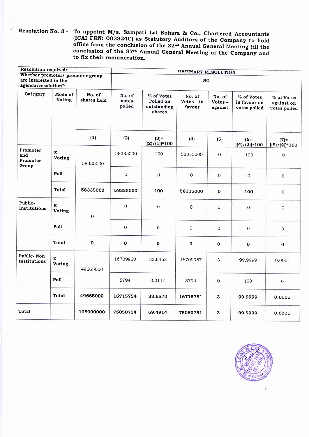Resolution No. 3 - To appoint M/s. Sampati Lal Bohara & Co., Chartered Accountants (ICAI FRN: 003324C) as Statutory Auditors of the Company to hold office from the conclusion of the 32<sup>nd</sup> Annual General Meeting till the conclusion of the 37<sup>th</sup> Annual General Meeting of the Company and to fix their remuneration.

| <b>Resolution required:</b>          |                       |                       | ORDINARY RESOLUTION       |                                                  |                                  |                                |                                            |                                          |  |  |
|--------------------------------------|-----------------------|-----------------------|---------------------------|--------------------------------------------------|----------------------------------|--------------------------------|--------------------------------------------|------------------------------------------|--|--|
| Whether promoter/ promoter group     |                       |                       |                           |                                                  |                                  |                                |                                            |                                          |  |  |
| are interested in the                |                       |                       |                           | NO                                               |                                  |                                |                                            |                                          |  |  |
| agenda/resolution?                   |                       |                       |                           |                                                  |                                  |                                |                                            |                                          |  |  |
| Category                             | Mode of<br>Voting     | No. of<br>shares held | No. of<br>votes<br>polled | % of Votes<br>Polled on<br>outstanding<br>shares | No. of<br>$Votes - in$<br>favour | No. of<br>$Votes -$<br>against | % of Votes<br>in favour on<br>votes polled | % of Votes<br>against on<br>votes polled |  |  |
|                                      |                       | (1)                   | (2)                       | $(3) =$<br>$[(2)/(1)]$ *100                      | (4)                              | (5)                            | $(6)=$<br>$[(4)/(2)]$ *100                 | $(7) =$<br>$[(5)/(2)]*100$               |  |  |
| Promoter<br>and<br>Promoter<br>Group | E-<br>Voting          | 58335000              | 58335000                  | 100                                              | 58335000                         | $\overline{0}$                 | 100                                        | 0                                        |  |  |
|                                      | Poll                  |                       | $\mathbf 0$               | $\mathbf 0$                                      | $\overline{0}$                   | $\boldsymbol{0}$               | $\mathbf 0$                                | $\overline{0}$                           |  |  |
|                                      | <b>Total</b>          | 58335000              | 58335000                  | 100                                              | 58335000                         | $\mathbf 0$                    | 100                                        | $\mathbf 0$                              |  |  |
| Public-<br>Institutions              | E-<br>Voting          | $\mathbf{O}$          | $\Omega$                  | $\boldsymbol{0}$                                 | $\circ$                          | $\mathbf 0$                    | $\overline{0}$                             | $\overline{0}$                           |  |  |
|                                      | Poll                  |                       | $\boldsymbol{0}$          | $\overline{0}$                                   | $\boldsymbol{0}$                 | $\mathbf 0$                    | $\mathbf{O}$                               | 0                                        |  |  |
|                                      | Total                 | $\mathbf 0$           | $\bf{0}$                  | 0                                                | $\mathbf 0$                      | $\mathbf 0$                    | $\mathbf{o}$                               | $\mathbf 0$                              |  |  |
| Public-Non<br>Institutions           | $E-$<br><b>Voting</b> | 49665000              | 16709960                  | 33.6453                                          | 16709957                         | 3                              | 99.9999                                    | 0.0001                                   |  |  |
|                                      | Poll                  |                       | 5794                      | 0.0117                                           | 5794                             | $\mathbf 0$                    | 100                                        | $\overline{O}$                           |  |  |
|                                      | <b>Total</b>          | 49665000              | 16715754                  | 33.6570                                          | 16715751                         | 3                              | 99.9999                                    | 0.0001                                   |  |  |
| <b>Total</b>                         |                       | 108000000             | 75050754                  | 69.4914                                          | 75050751                         | 3                              | 99.9999                                    | 0.0001                                   |  |  |



 $\overline{\phantom{a}}$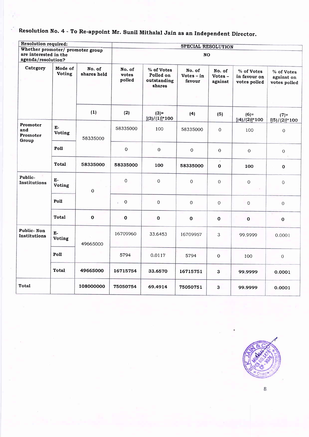## Resolution No. 4 - To Re-appoint Mr. Sunil Mithalal Jain as an Independent Director.

| <b>Resolution required:</b>                                                     |                   | SPECIAL RESOLUTION    |                           |                                                  |                                  |                                |                                            |                                          |  |
|---------------------------------------------------------------------------------|-------------------|-----------------------|---------------------------|--------------------------------------------------|----------------------------------|--------------------------------|--------------------------------------------|------------------------------------------|--|
| Whether promoter/ promoter group<br>are interested in the<br>agenda/resolution? |                   |                       |                           | <b>NO</b>                                        |                                  |                                |                                            |                                          |  |
| Category                                                                        | Mode of<br>Voting | No. of<br>shares held | No. of<br>votes<br>polled | % of Votes<br>Polled on<br>outstanding<br>shares | No. of<br>$Votes - in$<br>favour | No. of<br>$Votes -$<br>against | % of Votes<br>in favour on<br>votes polled | % of Votes<br>against on<br>votes polled |  |
|                                                                                 |                   | (1)                   | (2)                       | $(3) =$<br>$[(2)/(1)]$ *100                      | (4)                              | (5)                            | $(6) =$<br>$[(4)/(2)]$ *100                | $(7) =$<br>$[(5)/(2)]$ *100              |  |
| Promoter<br>and<br>Promoter<br>Group                                            | $E-$<br>Voting    | 58335000              | 58335000                  | 100                                              | 58335000                         | $\mathbf 0$                    | 100                                        | $\overline{O}$                           |  |
|                                                                                 | Poll              |                       | $\boldsymbol{0}$          | $\mathbf 0$                                      | $\mbox{O}$                       | $\mathbf{O}$                   | $\boldsymbol{0}$                           | $\boldsymbol{0}$                         |  |
|                                                                                 | Total             | 58335000              | 58335000                  | 100                                              | 58335000                         | $\mathbf{o}$                   | 100                                        | $\mathbf 0$                              |  |
| Public-<br>Institutions                                                         | E-<br>Voting      | $\Omega$              | $\Omega$                  | 0                                                | $\overline{0}$                   | 0                              | $\mathbf 0$                                | $\overline{O}$                           |  |
|                                                                                 | Poll              |                       | $\mathbf 0$<br>à.         | 0                                                | $\mathbf 0$                      | $\overline{O}$                 | $\mathbf{O}$                               | $\boldsymbol{0}$                         |  |
|                                                                                 | Total             | $\mathbf{o}$          | $\mathbf 0$               | $\mathbf 0$                                      | $\bf{0}$                         | $\mathbf 0$                    | $\mathbf 0$                                | $\mathbf 0$                              |  |
| Public-Non<br>Institutions                                                      | E-<br>Voting      | 49665000              | 16709960                  | 33.6453                                          | 16709957                         | 3                              | 99.9999                                    | 0.0001                                   |  |
|                                                                                 | Poll              |                       | 5794                      | 0.0117                                           | 5794                             | $\boldsymbol{0}$               | 100                                        | $\Omega$                                 |  |
|                                                                                 | Total             | 49665000              | 16715754                  | 33.6570                                          | 16715751                         | $\mathbf{3}$                   | 99.9999                                    | 0.0001                                   |  |
| Total                                                                           |                   | 108000000             | 75050754                  | 69.4914                                          | 75050751                         | 3                              | 99.9999                                    | 0.0001                                   |  |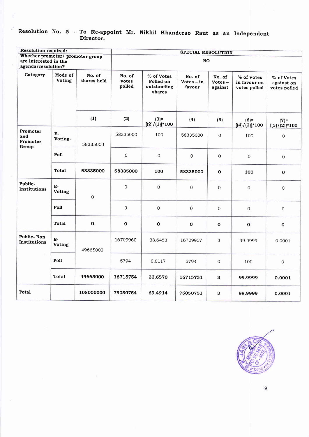#### Resolution No. 5 - To Re-appoint Mr. Nikhil Khanderao Raut Director. as an Independent

s.

| <b>Resolution required:</b>                                                     |                          |                       | SPECIAL RESOLUTION        |                                                  |                                  |                                |                                            |                                          |
|---------------------------------------------------------------------------------|--------------------------|-----------------------|---------------------------|--------------------------------------------------|----------------------------------|--------------------------------|--------------------------------------------|------------------------------------------|
| Whether promoter/ promoter group<br>are interested in the<br>agenda/resolution? |                          |                       | <b>NO</b>                 |                                                  |                                  |                                |                                            |                                          |
| Category                                                                        | Mode of<br><b>Voting</b> | No. of<br>shares held | No. of<br>votes<br>polled | % of Votes<br>Polled on<br>outstanding<br>shares | No. of<br>$Votes - in$<br>favour | No. of<br>$Votes -$<br>against | % of Votes<br>in favour on<br>votes polled | % of Votes<br>against on<br>votes polled |
|                                                                                 |                          | (1)                   | (2)                       | $(3) =$<br>$[(2)/(1)]*100$                       | (4)                              | (5)                            | $(6) =$<br>$[(4)/(2)]$ *100                | $(7)=$<br>$[(5)/(2)]$ *100               |
| Promoter<br>and<br>Promoter<br>Group                                            | $E-$<br><b>Voting</b>    | 58335000              | 58335000                  | 100                                              | 58335000                         | 0                              | 100                                        | $\cal O$                                 |
|                                                                                 | Poll                     |                       | $\Omega$                  | $\mathsf{O}\xspace$                              | $\mathbf 0$                      | $\boldsymbol{0}$               | $\mathbf 0$                                | $\boldsymbol{0}$                         |
|                                                                                 | Total                    | 58335000              | 58335000                  | 100                                              | 58335000                         | $\mathbf{o}$                   | 100                                        | $\mathbf{O}$                             |
| Public-<br>Institutions                                                         | E-<br>Voting             | $\mathbf 0$           | $\Omega$                  | $\mathbf 0$                                      | $\Omega$                         | 0                              | $\Omega$                                   | $\mathbf 0$                              |
|                                                                                 | Poll                     |                       | $\mathbf{0}$              | 0                                                | $\overline{0}$                   | $\overline{O}$                 | $\rm{O}$                                   | $\overline{O}$                           |
|                                                                                 | <b>Total</b>             | $\mathbf{o}$          | $\mathbf 0$               | $\mathbf{o}$                                     | $\mathbf{o}$                     | $\mathbf{o}$                   | $\mathbf 0$                                | $\pmb{0}$                                |
| Public-Non<br>Institutions                                                      | $E-$<br>Voting           | 49665000              | 16709960                  | 33.6453                                          | 16709957                         | 3                              | 99.9999                                    | 0.0001                                   |
|                                                                                 | Poll                     |                       | 5794                      | 0.0117                                           | 5794                             | $\overline{0}$                 | 100                                        | $\mathbf 0$                              |
|                                                                                 | Total                    | 49665000              | 16715754                  | 33.6570                                          | 16715751                         | 3                              | 99.9999                                    | 0.0001                                   |
| Total                                                                           |                          | 108000000             | 75050754                  | 69.4914                                          | 75050751                         | 3                              | 99,9999                                    | 0.0001                                   |

9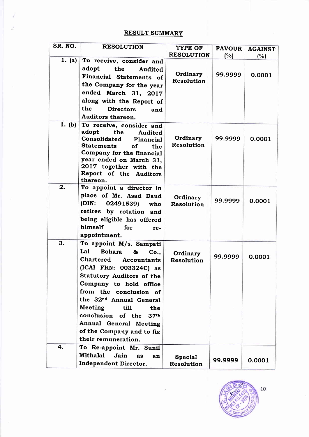## RESULT SUMMARY

| SR. NO. | <b>RESOLUTION</b>                                   | TYPE OF                | <b>FAVOUR</b> | <b>AGAINST</b> |
|---------|-----------------------------------------------------|------------------------|---------------|----------------|
| 1. (a)  | To receive, consider and                            | <b>RESOLUTION</b>      | (%)           | (%)            |
|         | adopt<br>the<br>Audited                             |                        |               |                |
|         | Financial Statements of                             | Ordinary               | 99.9999       | 0.0001         |
|         | the Company for the year                            | Resolution             |               |                |
|         | ended March 31, 2017                                |                        |               |                |
|         | along with the Report of                            |                        |               |                |
|         | the<br><b>Directors</b>                             |                        |               |                |
|         | and<br>Auditors thereon.                            |                        |               |                |
| 1. (b)  |                                                     |                        |               |                |
|         | To receive, consider and<br>adopt<br>the<br>Audited |                        |               |                |
|         | Consolidated<br>Financial                           | Ordinary               | 99.9999       | 0.0001         |
|         | <b>Statements</b><br>of<br>the                      | Resolution             |               |                |
|         | Company for the financial                           |                        |               |                |
|         | year ended on March 31,                             |                        |               |                |
|         | 2017 together with the                              |                        |               |                |
|         | Report of the Auditors<br>thereon.                  |                        |               |                |
| 2.      | To appoint a director in                            |                        |               |                |
|         | place of Mr. Asad Daud                              |                        |               |                |
|         | (DIN:<br>02491539)<br>who                           | Ordinary<br>Resolution | 99.9999       | 0.0001         |
|         | retires by rotation and                             |                        |               |                |
|         | being eligible has offered                          |                        |               |                |
|         | himself<br>for<br>re-                               |                        |               |                |
|         | appointment.                                        |                        |               |                |
| 3.      | To appoint M/s. Sampati                             |                        |               |                |
|         | La1<br><b>Bohara</b><br>&<br>Co.,                   | Ordinary               |               |                |
|         | Chartered<br>Accountants                            | Resolution             | 99.9999       | 0.0001         |
|         | (ICAI FRN: 003324C) as                              |                        |               |                |
|         | <b>Statutory Auditors of the</b>                    |                        |               |                |
|         | Company to hold office                              |                        |               |                |
|         | from the conclusion of                              |                        |               |                |
|         | the 32 <sup>nd</sup> Annual General                 |                        |               |                |
|         | Meeting<br>till<br>the                              |                        |               |                |
|         | conclusion of the<br>37 <sup>th</sup>               |                        |               |                |
|         | Annual General Meeting                              |                        |               |                |
|         | of the Company and to fix                           |                        |               |                |
|         | their remuneration.                                 |                        |               |                |
| 4.      | To Re-appoint Mr. Sunil                             |                        |               |                |
|         | Mithalal<br>Jain<br><b>as</b><br>an                 | <b>Special</b>         | 99.9999       |                |
|         | Independent Director.                               | Resolution             |               | 0.0001         |

 $\frac{1}{2}$